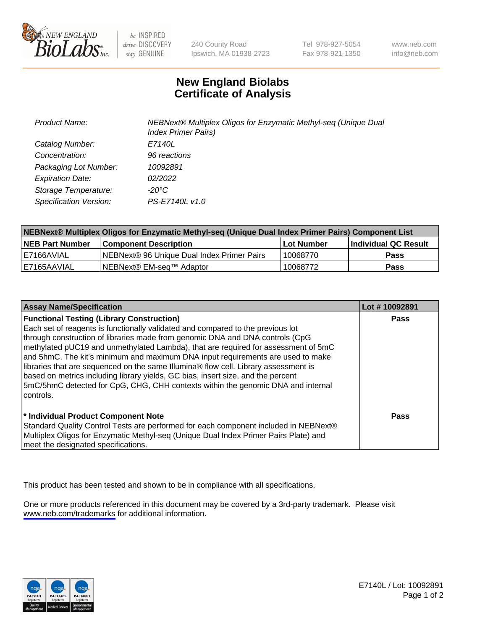

be INSPIRED drive DISCOVERY stay GENUINE

240 County Road Ipswich, MA 01938-2723 Tel 978-927-5054 Fax 978-921-1350

www.neb.com info@neb.com

## **New England Biolabs Certificate of Analysis**

| <b>Product Name:</b>    | NEBNext® Multiplex Oligos for Enzymatic Methyl-seq (Unique Dual<br><b>Index Primer Pairs)</b> |
|-------------------------|-----------------------------------------------------------------------------------------------|
| Catalog Number:         | E7140L                                                                                        |
| Concentration:          | 96 reactions                                                                                  |
| Packaging Lot Number:   | 10092891                                                                                      |
| <b>Expiration Date:</b> | 02/2022                                                                                       |
| Storage Temperature:    | -20°C                                                                                         |
| Specification Version:  | PS-E7140L v1.0                                                                                |

| NEBNext® Multiplex Oligos for Enzymatic Methyl-seq (Unique Dual Index Primer Pairs) Component List |                                            |            |                      |  |
|----------------------------------------------------------------------------------------------------|--------------------------------------------|------------|----------------------|--|
| <b>NEB Part Number</b>                                                                             | <b>Component Description</b>               | Lot Number | Individual QC Result |  |
| I E7166AVIAL                                                                                       | NEBNext® 96 Unique Dual Index Primer Pairs | 10068770   | Pass                 |  |
| IE7165AAVIAL                                                                                       | NEBNext® EM-seq™ Adaptor                   | 10068772   | <b>Pass</b>          |  |

| <b>Assay Name/Specification</b>                                                      | Lot #10092891 |
|--------------------------------------------------------------------------------------|---------------|
| <b>Functional Testing (Library Construction)</b>                                     | <b>Pass</b>   |
| Each set of reagents is functionally validated and compared to the previous lot      |               |
| through construction of libraries made from genomic DNA and DNA controls (CpG        |               |
| methylated pUC19 and unmethylated Lambda), that are required for assessment of 5mC   |               |
| and 5hmC. The kit's minimum and maximum DNA input requirements are used to make      |               |
| libraries that are sequenced on the same Illumina® flow cell. Library assessment is  |               |
| based on metrics including library yields, GC bias, insert size, and the percent     |               |
| 5mC/5hmC detected for CpG, CHG, CHH contexts within the genomic DNA and internal     |               |
| controls.                                                                            |               |
|                                                                                      |               |
| * Individual Product Component Note                                                  | Pass          |
| Standard Quality Control Tests are performed for each component included in NEBNext® |               |
| Multiplex Oligos for Enzymatic Methyl-seq (Unique Dual Index Primer Pairs Plate) and |               |
| meet the designated specifications.                                                  |               |

This product has been tested and shown to be in compliance with all specifications.

One or more products referenced in this document may be covered by a 3rd-party trademark. Please visit <www.neb.com/trademarks>for additional information.